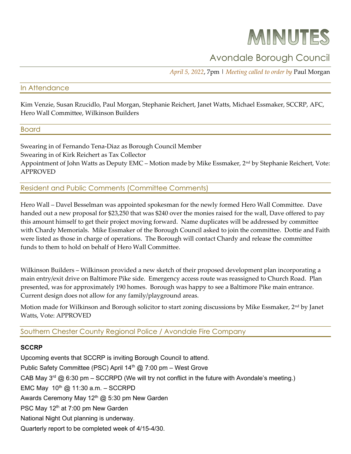# MINUTES

## Avondale Borough Council

April 5, 2022, 7pm | Meeting called to order by Paul Morgan

### In Attendance

Kim Venzie, Susan Rzucidlo, Paul Morgan, Stephanie Reichert, Janet Watts, Michael Essmaker, SCCRP, AFC, Hero Wall Committee, Wilkinson Builders

#### Board

Swearing in of Fernando Tena-Diaz as Borough Council Member Swearing in of Kirk Reichert as Tax Collector Appointment of John Watts as Deputy EMC – Motion made by Mike Essmaker, 2<sup>nd</sup> by Stephanie Reichert, Vote: APPROVED

Resident and Public Comments (Committee Comments)

Hero Wall – Davel Besselman was appointed spokesman for the newly formed Hero Wall Committee. Dave handed out a new proposal for \$23,250 that was \$240 over the monies raised for the wall, Dave offered to pay this amount himself to get their project moving forward. Name duplicates will be addressed by committee with Chardy Memorials. Mike Essmaker of the Borough Council asked to join the committee. Dottie and Faith were listed as those in charge of operations. The Borough will contact Chardy and release the committee funds to them to hold on behalf of Hero Wall Committee.

Wilkinson Builders – Wilkinson provided a new sketch of their proposed development plan incorporating a main entry/exit drive on Baltimore Pike side. Emergency access route was reassigned to Church Road. Plan presented, was for approximately 190 homes. Borough was happy to see a Baltimore Pike main entrance. Current design does not allow for any family/playground areas.

Motion made for Wilkinson and Borough solicitor to start zoning discussions by Mike Essmaker, 2nd by Janet Watts, Vote: APPROVED

Southern Chester County Regional Police / Avondale Fire Company

#### **SCCRP**

Upcoming events that SCCRP is inviting Borough Council to attend. Public Safety Committee (PSC) April 14<sup>th</sup> @ 7:00 pm - West Grove CAB May  $3^{rd}$  @ 6:30 pm – SCCRPD (We will try not conflict in the future with Avondale's meeting.) EMC May  $10^{th}$  @ 11:30 a.m. - SCCRPD Awards Ceremony May 12<sup>th</sup> @ 5:30 pm New Garden PSC May 12<sup>th</sup> at 7:00 pm New Garden National Night Out planning is underway. Quarterly report to be completed week of 4/15-4/30.